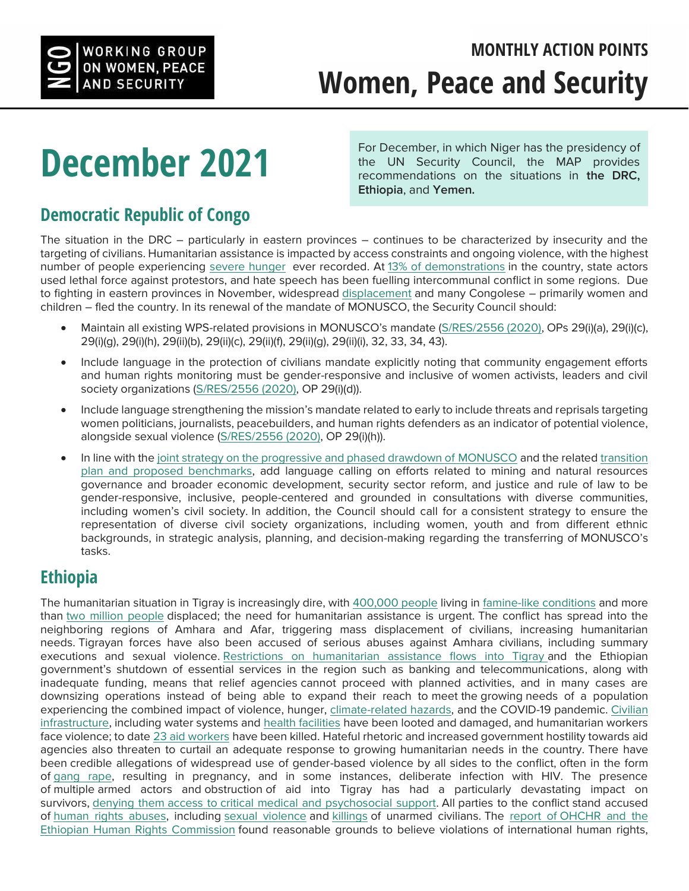

## **December 2021**

For December, in which Niger has the presidency of the UN Security Council, the MAP provides recommendations on the situations in **the DRC, Ethiopia**, and **Yemen.**

## **Democratic Republic of Congo**

The situation in the DRC – particularly in eastern provinces – continues to be characterized by insecurity and the targeting of civilians. Humanitarian assistance is impacted by access constraints and ongoing violence, with the highest number of people experiencing [severe hunger](https://www.rescue.org/press-release/new-ebola-outbreak-emerges-drc-irc-calls-swift-action-and-funding-frontline-aid) ever recorded. At [13% of demonstrations](https://acleddata.com/2021/10/21/deadly-demonstrations/) in the country, state actors used lethal force against protestors, and hate speech has been fuelling intercommunal conflict in some regions. Due to fighting in eastern provinces in November, widespread [displacement](https://news.un.org/en/story/2021/11/1105262) and many Congolese – primarily women and children – fled the country. In its renewal of the mandate of MONUSCO, the Security Council should:

- Maintain all existing WPS-related provisions in MONUSCO's mandate [\(S/RES/2556 \(2020\),](http://undocs.org/S/RES/2556%20(2020)) OPs 29(i)(a), 29(i)(c), 29(i)(g), 29(i)(h), 29(ii)(b), 29(ii)(c), 29(ii)(f), 29(ii)(g), 29(ii)(i), 32, 33, 34, 43).
- Include language in the protection of civilians mandate explicitly noting that community engagement efforts and human rights monitoring must be gender-responsive and inclusive of women activists, leaders and civil society organizations [\(S/RES/2556 \(2020\),](http://undocs.org/S/RES/2556%20(2020)) OP 29(i)(d)).
- Include language strengthening the mission's mandate related to early to include threats and reprisals targeting women politicians, journalists, peacebuilders, and human rights defenders as an indicator of potential violence, alongside sexual violence [\(S/RES/2556 \(2020\),](http://undocs.org/S/RES/2556%20(2020)) OP 29(i)(h)).
- In line with th[e joint strategy on the progressive and phased drawdown of MONUSCO](http://undocs.org/S/2020/1041) and the relate[d transition](http://undocs.org/S/2021/807)  [plan and proposed benchmarks,](http://undocs.org/S/2021/807) add language calling on efforts related to mining and natural resources governance and broader economic development, security sector reform, and justice and rule of law to be gender-responsive, inclusive, people-centered and grounded in consultations with diverse communities, including women's civil society. In addition, the Council should call for a consistent strategy to ensure the representation of diverse civil society organizations, including women, youth and from different ethnic backgrounds, in strategic analysis, planning, and decision-making regarding the transferring of MONUSCO's tasks.

## **Ethiopia**

The humanitarian situation in Tigray is increasingly dire, with [400,000 people](https://nam02.safelinks.protection.outlook.com/?url=https%3A%2F%2Fwww.oxfam.org%2Fen%2Fpress-releases%2Fyear-conflict-erupted-nearly-7-million-people-still-suffering-northern-ethiopia&data=04%7C01%7Cvarian%40hrw.org%7Cea7285c02bf243c3d14608d9afb63515%7C2eb79de4d8044273a6e64b3188855f66%7C0%7C0%7C637734020148888795%7CUnknown%7CTWFpbGZsb3d8eyJWIjoiMC4wLjAwMDAiLCJQIjoiV2luMzIiLCJBTiI6Ik1haWwiLCJXVCI6Mn0%3D%7C3000&sdata=MFEIcMH73oahwVkMiBHx4rkZBz9TnF%2FVUN%2BTtGyJiKg%3D&reserved=0) living in [famine-like conditions](https://nam02.safelinks.protection.outlook.com/?url=http%3A%2F%2Fwww.ipcinfo.org%2Fipc-country-analysis%2Fdetails-map%2Fen%2Fc%2F1154897%2F&data=04%7C01%7Cvarian%40hrw.org%7Cea7285c02bf243c3d14608d9afb63515%7C2eb79de4d8044273a6e64b3188855f66%7C0%7C0%7C637734020148898791%7CUnknown%7CTWFpbGZsb3d8eyJWIjoiMC4wLjAwMDAiLCJQIjoiV2luMzIiLCJBTiI6Ik1haWwiLCJXVCI6Mn0%3D%7C3000&sdata=ivXBAFsbh07FkzSimQcW7cJHahCkp6MmwAuMhZg2LG8%3D&reserved=0) and more than [two million people](https://nam02.safelinks.protection.outlook.com/?url=https%3A%2F%2Fwww.oxfam.org%2Fen%2Fpress-releases%2Fyear-conflict-erupted-nearly-7-million-people-still-suffering-northern-ethiopia&data=04%7C01%7Cvarian%40hrw.org%7Cea7285c02bf243c3d14608d9afb63515%7C2eb79de4d8044273a6e64b3188855f66%7C0%7C0%7C637734020148908786%7CUnknown%7CTWFpbGZsb3d8eyJWIjoiMC4wLjAwMDAiLCJQIjoiV2luMzIiLCJBTiI6Ik1haWwiLCJXVCI6Mn0%3D%7C3000&sdata=ZJR6PC31%2FKQDS1Idy51SmwDVyq7T8NpHBtKvmIMXqH8%3D&reserved=0) displaced; the need for humanitarian assistance is urgent. The conflict has spread into the neighboring regions of Amhara and Afar, triggering mass displacement of civilians, increasing humanitarian needs. Tigrayan forces have also been accused of serious abuses against Amhara civilians, including summary executions and sexual violence. [Restrictions on humanitarian assistance flows into Tigray a](https://nam02.safelinks.protection.outlook.com/?url=https%3A%2F%2Freports.unocha.org%2Fen%2Fcountry%2Fethiopia%2F&data=04%7C01%7Cvarian%40hrw.org%7Cea7285c02bf243c3d14608d9afb63515%7C2eb79de4d8044273a6e64b3188855f66%7C0%7C0%7C637734020148908786%7CUnknown%7CTWFpbGZsb3d8eyJWIjoiMC4wLjAwMDAiLCJQIjoiV2luMzIiLCJBTiI6Ik1haWwiLCJXVCI6Mn0%3D%7C3000&sdata=%2FEwgtWvXbQaA6bkSqSn2Nn%2BLU%2B0f3lZvDygDYTfatAw%3D&reserved=0)nd the Ethiopian government's shutdown of essential services in the region such as banking and telecommunications, along with inadequate funding, means that relief agencies cannot proceed with planned activities, and in many cases are downsizing operations instead of being able to expand their reach to meet the growing needs of a population experiencing the combined impact of violence, hunger, [climate-related hazards,](https://nam02.safelinks.protection.outlook.com/?url=https%3A%2F%2Fwww.cpc.ncep.noaa.gov%2Fproducts%2Finternational%2Fafrica%2Fafrica_hazard.pdf&data=04%7C01%7Cvarian%40hrw.org%7Cea7285c02bf243c3d14608d9afb63515%7C2eb79de4d8044273a6e64b3188855f66%7C0%7C0%7C637734020148928773%7CUnknown%7CTWFpbGZsb3d8eyJWIjoiMC4wLjAwMDAiLCJQIjoiV2luMzIiLCJBTiI6Ik1haWwiLCJXVCI6Mn0%3D%7C3000&sdata=E504ltAuJeAMUUcWeaERaQPldejVDcZX0R%2BUzaA1tyM%3D&reserved=0) and the COVID-19 pandemic. [Civilian](https://nam02.safelinks.protection.outlook.com/?url=https%3A%2F%2Fapnews.com%2Farticle%2Ftigray-ethiopia-news-2bdd10888f7717690847ad117f09f2d4&data=04%7C01%7Cvarian%40hrw.org%7Cea7285c02bf243c3d14608d9afb63515%7C2eb79de4d8044273a6e64b3188855f66%7C0%7C0%7C637734020148928773%7CUnknown%7CTWFpbGZsb3d8eyJWIjoiMC4wLjAwMDAiLCJQIjoiV2luMzIiLCJBTiI6Ik1haWwiLCJXVCI6Mn0%3D%7C3000&sdata=c41PZ%2B%2FIqanyWg%2FgVRXJDFwLzuw1nPqzTuLNXi5cZqc%3D&reserved=0)  [infrastructure,](https://nam02.safelinks.protection.outlook.com/?url=https%3A%2F%2Fapnews.com%2Farticle%2Ftigray-ethiopia-news-2bdd10888f7717690847ad117f09f2d4&data=04%7C01%7Cvarian%40hrw.org%7Cea7285c02bf243c3d14608d9afb63515%7C2eb79de4d8044273a6e64b3188855f66%7C0%7C0%7C637734020148928773%7CUnknown%7CTWFpbGZsb3d8eyJWIjoiMC4wLjAwMDAiLCJQIjoiV2luMzIiLCJBTiI6Ik1haWwiLCJXVCI6Mn0%3D%7C3000&sdata=c41PZ%2B%2FIqanyWg%2FgVRXJDFwLzuw1nPqzTuLNXi5cZqc%3D&reserved=0) including water systems and [health facilities](https://nam02.safelinks.protection.outlook.com/?url=https%3A%2F%2Fwww.msf.org%2Fhealth-facilities-targeted-tigray-region-ethiopia&data=04%7C01%7Cvarian%40hrw.org%7Cea7285c02bf243c3d14608d9afb63515%7C2eb79de4d8044273a6e64b3188855f66%7C0%7C0%7C637734020148938770%7CUnknown%7CTWFpbGZsb3d8eyJWIjoiMC4wLjAwMDAiLCJQIjoiV2luMzIiLCJBTiI6Ik1haWwiLCJXVCI6Mn0%3D%7C3000&sdata=bvrhdQvyeLoABUo8SJMHE8gWKnkz2bpGHb1xdqqrZ%2Fs%3D&reserved=0) have been looted and damaged, and humanitarian workers face violence; to date [23 aid workers](https://nam02.safelinks.protection.outlook.com/?url=https%3A%2F%2Fwww.eepa.be%2F%3Fp%3D5507&data=04%7C01%7Cvarian%40hrw.org%7Cea7285c02bf243c3d14608d9afb63515%7C2eb79de4d8044273a6e64b3188855f66%7C0%7C0%7C637734020148938770%7CUnknown%7CTWFpbGZsb3d8eyJWIjoiMC4wLjAwMDAiLCJQIjoiV2luMzIiLCJBTiI6Ik1haWwiLCJXVCI6Mn0%3D%7C3000&sdata=Zk2GCS7OCkB%2FJtjd0nN6OpcMqsLaytnRXB1WBUHavPg%3D&reserved=0) have been killed. Hateful rhetoric and increased government hostility towards aid agencies also threaten to curtail an adequate response to growing humanitarian needs in the country. There have been credible allegations of widespread use of gender-based violence by all sides to the conflict, often in the form of [gang rape,](https://nam02.safelinks.protection.outlook.com/?url=https%3A%2F%2Fwww.aljazeera.com%2Fopinions%2F2021%2F11%2F12%2Fhow-to-address-the-sexual-violence-epidemic-in-ethiopia&data=04%7C01%7Cvarian%40hrw.org%7Cea7285c02bf243c3d14608d9afb63515%7C2eb79de4d8044273a6e64b3188855f66%7C0%7C0%7C637734020148958758%7CUnknown%7CTWFpbGZsb3d8eyJWIjoiMC4wLjAwMDAiLCJQIjoiV2luMzIiLCJBTiI6Ik1haWwiLCJXVCI6Mn0%3D%7C3000&sdata=siAN7US1LoDrVNwBL390wtx5tIFFYOd1GvZjGh8oEKc%3D&reserved=0) resulting in pregnancy, and in some instances, deliberate infection with HIV. The presence of multiple armed actors and obstruction of aid into Tigray has had a particularly devastating impact on survivors, [denying them access to critical medical and psychosocial support.](https://nam02.safelinks.protection.outlook.com/?url=https%3A%2F%2Fwww.hrw.org%2Freport%2F2021%2F11%2F09%2Fi-always-remember-day%2Faccess-services-survivors-gender-based-violence-ethiopias&data=04%7C01%7Cvarian%40hrw.org%7Cea7285c02bf243c3d14608d9afb63515%7C2eb79de4d8044273a6e64b3188855f66%7C0%7C0%7C637734020148958758%7CUnknown%7CTWFpbGZsb3d8eyJWIjoiMC4wLjAwMDAiLCJQIjoiV2luMzIiLCJBTiI6Ik1haWwiLCJXVCI6Mn0%3D%7C3000&sdata=ClpOLhzttLQR7bBU4OHFhZthYMG187g6r98mnRiEj%2Bc%3D&reserved=0) All parties to the conflict stand accused of [human rights abuses,](https://nam02.safelinks.protection.outlook.com/?url=https%3A%2F%2Fwww.hrw.org%2Fnews%2F2021%2F11%2F04%2Finternational-investigation-needed-abuses-ethiopia&data=04%7C01%7Cvarian%40hrw.org%7Cea7285c02bf243c3d14608d9afb63515%7C2eb79de4d8044273a6e64b3188855f66%7C0%7C0%7C637734020148968749%7CUnknown%7CTWFpbGZsb3d8eyJWIjoiMC4wLjAwMDAiLCJQIjoiV2luMzIiLCJBTiI6Ik1haWwiLCJXVCI6Mn0%3D%7C3000&sdata=vDp%2Bse%2FGBukhuTFj8m1aaloKUJhDJTuzIDyCYBWlAAk%3D&reserved=0) including [sexual violence](https://nam02.safelinks.protection.outlook.com/?url=https%3A%2F%2Fwww.amnesty.org%2Fen%2Flatest%2Fnews%2F2021%2F11%2Fethiopia-survivors-of-tplf-attack-in-amhara-describe-gang-rape-looting-and-physical-assaults%2F&data=04%7C01%7Cvarian%40hrw.org%7Cea7285c02bf243c3d14608d9afb63515%7C2eb79de4d8044273a6e64b3188855f66%7C0%7C0%7C637734020148968749%7CUnknown%7CTWFpbGZsb3d8eyJWIjoiMC4wLjAwMDAiLCJQIjoiV2luMzIiLCJBTiI6Ik1haWwiLCJXVCI6Mn0%3D%7C3000&sdata=L%2BZ%2FiZnnk2jgjwpCDP0GTNKTjaAeJyJoZAq7qr%2B8HVw%3D&reserved=0) and [killings](https://nam02.safelinks.protection.outlook.com/?url=https%3A%2F%2Fwww.amnesty.org%2Fen%2Flatest%2Fnews%2F2021%2F02%2Fethiopia-eritrean-troops-massacre-of-hundreds-of-axum-civilians-may-amount-to-crime-against-humanity-2%2F&data=04%7C01%7Cvarian%40hrw.org%7Cea7285c02bf243c3d14608d9afb63515%7C2eb79de4d8044273a6e64b3188855f66%7C0%7C0%7C637734020148978745%7CUnknown%7CTWFpbGZsb3d8eyJWIjoiMC4wLjAwMDAiLCJQIjoiV2luMzIiLCJBTiI6Ik1haWwiLCJXVCI6Mn0%3D%7C3000&sdata=7zVBY0XU%2FVYe51hZhAFQEYox0xiSHTYxdcT6KneWXE0%3D&reserved=0) of unarmed civilians. The [report of OHCHR and the](https://www.ohchr.org/EN/NewsEvents/Pages/DisplayNews.aspx?NewsID=27756&LangID=E)  [Ethiopian Human Rights Commission](https://www.ohchr.org/EN/NewsEvents/Pages/DisplayNews.aspx?NewsID=27756&LangID=E) found reasonable grounds to believe violations of international human rights,